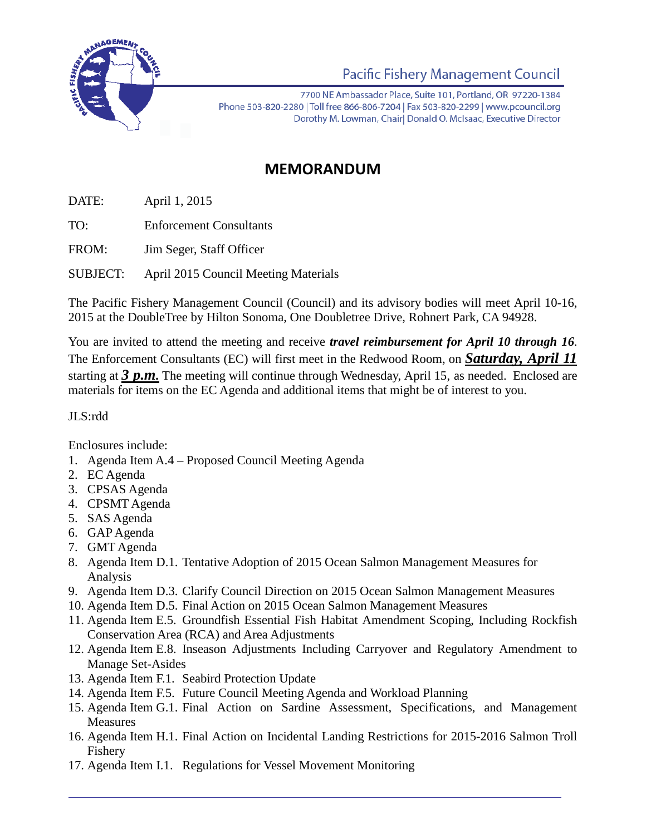

## **Pacific Fishery Management Council**

7700 NE Ambassador Place, Suite 101, Portland, OR 97220-1384 Phone 503-820-2280 | Toll free 866-806-7204 | Fax 503-820-2299 | www.pcouncil.org Dorothy M. Lowman, Chairl Donald O. McIsaac, Executive Director

## **MEMORANDUM**

DATE: April 1, 2015

TO: Enforcement Consultants

FROM: Jim Seger, Staff Officer

SUBJECT: April 2015 Council Meeting Materials

The Pacific Fishery Management Council (Council) and its advisory bodies will meet April 10-16, 2015 at the DoubleTree by Hilton Sonoma, One Doubletree Drive, Rohnert Park, CA 94928.

You are invited to attend the meeting and receive *travel reimbursement for April 10 through 16*. The Enforcement Consultants (EC) will first meet in the Redwood Room, on *Saturday, April 11* starting at *3 p.m.* The meeting will continue through Wednesday, April 15, as needed. Enclosed are materials for items on the EC Agenda and additional items that might be of interest to you.

## JLS:rdd

Enclosures include:

- 1. Agenda Item A.4 Proposed Council Meeting Agenda
- 2. EC Agenda
- 3. CPSAS Agenda
- 4. CPSMT Agenda
- 5. SAS Agenda
- 6. GAP Agenda
- 7. GMT Agenda
- 8. Agenda Item D.1. Tentative Adoption of 2015 Ocean Salmon Management Measures for Analysis
- 9. Agenda Item D.3. Clarify Council Direction on 2015 Ocean Salmon Management Measures
- 10. Agenda Item D.5. Final Action on 2015 Ocean Salmon Management Measures
- 11. Agenda Item E.5. Groundfish Essential Fish Habitat Amendment Scoping, Including Rockfish Conservation Area (RCA) and Area Adjustments
- 12. Agenda Item E.8. Inseason Adjustments Including Carryover and Regulatory Amendment to Manage Set-Asides
- 13. Agenda Item F.1. Seabird Protection Update
- 14. Agenda Item F.5. Future Council Meeting Agenda and Workload Planning
- 15. Agenda Item G.1. Final Action on Sardine Assessment, Specifications, and Management Measures
- 16. Agenda Item H.1. Final Action on Incidental Landing Restrictions for 2015-2016 Salmon Troll Fishery
- 17. Agenda Item I.1. Regulations for Vessel Movement Monitoring